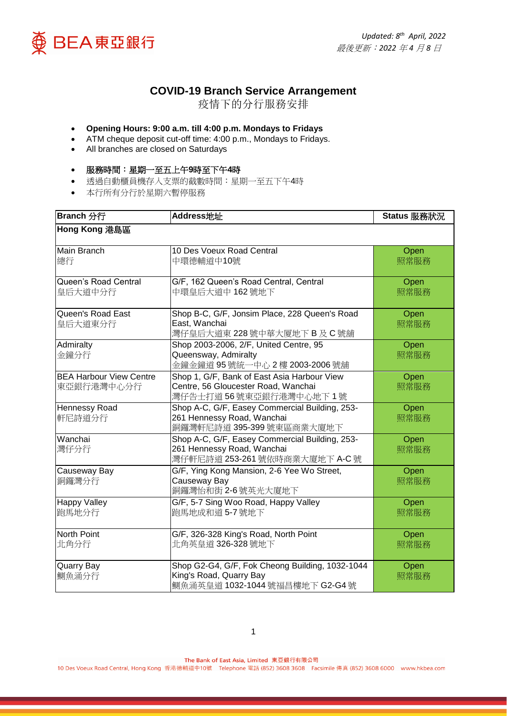



## **COVID-19 Branch Service Arrangement**

疫情下的分行服務安排

## **Opening Hours: 9:00 a.m. till 4:00 p.m. Mondays to Fridays**

- ATM cheque deposit cut-off time: 4:00 p.m., Mondays to Fridays.
- All branches are closed on Saturdays

## 服務時間:星期一至五上午**9**時至下午**4**時

- 透過自動櫃員機存入支票的截數時間:星期一至五下午4時
- 本行所有分行於星期六暫停服務

| Branch 分行                                    | Address地址                                                                                                                     | Status 服務狀況  |
|----------------------------------------------|-------------------------------------------------------------------------------------------------------------------------------|--------------|
| Hong Kong 港島區                                |                                                                                                                               |              |
| Main Branch<br>總行                            | 10 Des Voeux Road Central<br>中環德輔道中10號                                                                                        | Open<br>照常服務 |
| Queen's Road Central<br>皇后大道中分行              | G/F, 162 Queen's Road Central, Central<br>中環皇后大道中 162號地下                                                                      | Open<br>照常服務 |
| Queen's Road East<br>皇后大道東分行                 | Shop B-C, G/F, Jonsim Place, 228 Queen's Road<br>Open<br>East, Wanchai<br>照常服務<br>灣仔皇后大道東 228 號中華大厦地下 B 及 C 號舖                |              |
| Admiralty<br>金鐘分行                            | Shop 2003-2006, 2/F, United Centre, 95<br>Queensway, Admiralty<br>金鐘金鐘道 95號統一中心 2樓 2003-2006號舖                                | Open<br>照常服務 |
| <b>BEA Harbour View Centre</b><br>東亞銀行港灣中心分行 | Shop 1, G/F, Bank of East Asia Harbour View<br>Centre, 56 Gloucester Road, Wanchai<br>灣仔告士打道56號東亞銀行港灣中心地下1號                   | Open<br>照常服務 |
| Hennessy Road<br>軒尼詩道分行                      | Shop A-C, G/F, Easey Commercial Building, 253-<br>261 Hennessy Road, Wanchai<br>銅鑼灣軒尼詩道 395-399號東區商業大廈地下                      | Open<br>照常服務 |
| Wanchai<br>灣仔分行                              | Shop A-C, G/F, Easey Commercial Building, 253-<br>261 Hennessy Road, Wanchai<br>灣仔軒尼詩道 253-261 號依時商業大廈地下 A-C 號                | Open<br>照常服務 |
| Causeway Bay<br>銅鑼灣分行                        | G/F, Ying Kong Mansion, 2-6 Yee Wo Street,<br>Causeway Bay<br>銅鑼灣怡和街 2-6號英光大廈地下                                               | Open<br>照常服務 |
| <b>Happy Valley</b><br>跑馬地分行                 | G/F, 5-7 Sing Woo Road, Happy Valley<br>Open<br>跑馬地成和道 5-7號地下<br>照常服務                                                         |              |
| North Point<br>北角分行                          | G/F, 326-328 King's Road, North Point<br>Open<br>北角英皇道 326-328 號地下<br>照常服務                                                    |              |
| Quarry Bay<br>鰂魚涌分行                          | Shop G2-G4, G/F, Fok Cheong Building, 1032-1044<br>Open<br>King's Road, Quarry Bay<br>照常服務<br>鰂魚涌英皇道 1032-1044 號福昌樓地下 G2-G4 號 |              |

The Bank of East Asia, Limited 東亞銀行有限公司

10 Des Voeux Road Central, Hong Kong 香港德輔道中10號 Telephone 電話 (852) 3608 3608 Facsimile 傳真 (852) 3608 6000 www.hkbea.com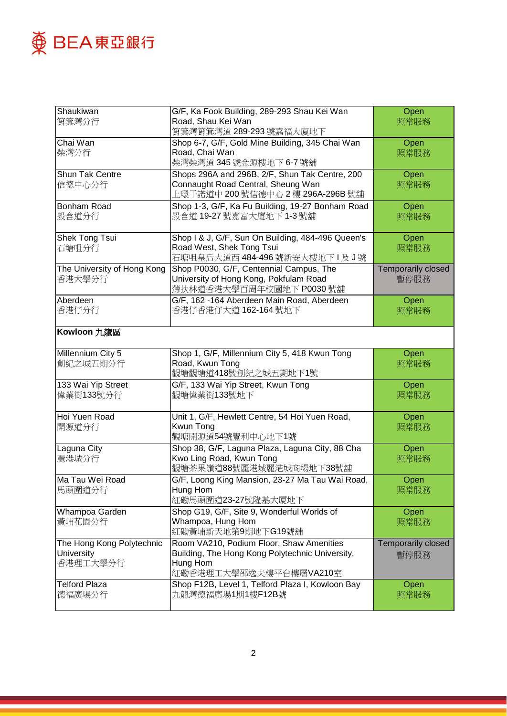

| Shaukiwan                   | G/F, Ka Fook Building, 289-293 Shau Kei Wan             | Open               |
|-----------------------------|---------------------------------------------------------|--------------------|
| 筲箕灣分行                       | Road, Shau Kei Wan                                      | 照常服務               |
|                             | 筲箕灣筲箕灣道 289-293 號嘉福大廈地下                                 |                    |
| Chai Wan                    | Shop 6-7, G/F, Gold Mine Building, 345 Chai Wan         | Open               |
| 柴灣分行                        | Road, Chai Wan                                          | 照常服務               |
|                             | 柴灣柴灣道345號金源樓地下6-7號舖                                     |                    |
| <b>Shun Tak Centre</b>      | Shops 296A and 296B, 2/F, Shun Tak Centre, 200          | Open               |
| 信德中心分行                      | Connaught Road Central, Sheung Wan                      | 照常服務               |
|                             | 上環干諾道中 200 號信德中心 2 樓 296A-296B 號舖                       |                    |
| Bonham Road                 | Shop 1-3, G/F, Ka Fu Building, 19-27 Bonham Road        | Open               |
| 般含道分行                       | 般含道 19-27 號嘉富大廈地下 1-3 號舖                                | 照常服務               |
|                             |                                                         |                    |
| Shek Tong Tsui              | Shop I & J, G/F, Sun On Building, 484-496 Queen's       | Open               |
| 石塘咀分行                       | Road West, Shek Tong Tsui                               | 照常服務               |
|                             | 石塘咀皇后大道西 484-496號新安大樓地下Ⅰ及J號                             |                    |
| The University of Hong Kong | Shop P0030, G/F, Centennial Campus, The                 | Temporarily closed |
| 香港大學分行                      | University of Hong Kong, Pokfulam Road                  | 暫停服務               |
|                             | 薄扶林道香港大學百周年校園地下 P0030 號舖                                |                    |
| Aberdeen                    | G/F, 162-164 Aberdeen Main Road, Aberdeen               | Open               |
| 香港仔分行                       | 香港仔香港仔大道 162-164 號地下                                    | 照常服務               |
|                             |                                                         |                    |
| Kowloon 九龍區                 |                                                         |                    |
|                             |                                                         |                    |
| Millennium City 5           | Shop 1, G/F, Millennium City 5, 418 Kwun Tong           | Open               |
| 創紀之城五期分行                    | Road, Kwun Tong                                         | 照常服務               |
|                             | 觀塘觀塘道418號創紀之城五期地下1號                                     |                    |
| 133 Wai Yip Street          | G/F, 133 Wai Yip Street, Kwun Tong                      | Open               |
| 偉業街133號分行                   | 觀塘偉業街133號地下                                             | 照常服務               |
|                             |                                                         |                    |
| Hoi Yuen Road               | Unit 1, G/F, Hewlett Centre, 54 Hoi Yuen Road,          | Open               |
| 開源道分行                       | Kwun Tong                                               | 照常服務               |
|                             | 觀塘開源道54號豐利中心地下1號                                        |                    |
| Laguna City                 | Shop 38, G/F, Laguna Plaza, Laguna City, 88 Cha         | Open               |
| 麗港城分行                       | Kwo Ling Road, Kwun Tong                                | 照常服務               |
|                             | 觀塘茶果嶺道88號麗港城麗港城商場地下38號舖                                 |                    |
| Ma Tau Wei Road             | G/F, Loong King Mansion, 23-27 Ma Tau Wai Road,         | Open               |
| 馬頭圍道分行                      | Hung Hom                                                | 照常服務               |
|                             | 紅磡馬頭圍道23-27號隆基大厦地下                                      |                    |
| Whampoa Garden              | Shop G19, G/F, Site 9, Wonderful Worlds of              | Open               |
| 黃埔花園分行                      | Whampoa, Hung Hom<br>照常服務                               |                    |
|                             | 紅磡黃埔新天地第9期地下G19號舖                                       |                    |
| The Hong Kong Polytechnic   | Room VA210, Podium Floor, Shaw Amenities                | Temporarily closed |
| University                  | Building, The Hong Kong Polytechnic University,<br>暫停服務 |                    |
| 香港理工大學分行                    | Hung Hom                                                |                    |
|                             | 紅磡香港理工大學邵逸夫樓平台樓層VA210室                                  |                    |
| <b>Telford Plaza</b>        | Shop F12B, Level 1, Telford Plaza I, Kowloon Bay        | Open               |
| 德福廣場分行                      | 九龍灣德福廣場1期1樓F12B號                                        | 照常服務               |
|                             |                                                         |                    |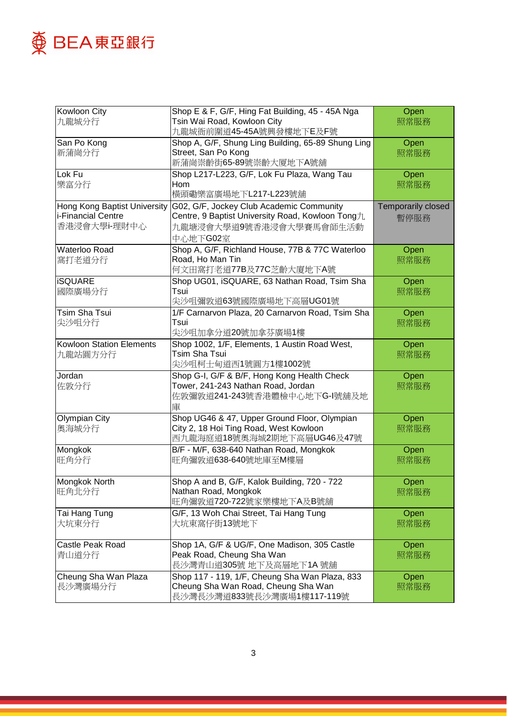

| Kowloon City                    | Shop E & F, G/F, Hing Fat Building, 45 - 45A Nga                     | Open               |
|---------------------------------|----------------------------------------------------------------------|--------------------|
| 九龍城分行                           | Tsin Wai Road, Kowloon City                                          | 照常服務               |
|                                 | 九龍城衙前圍道45-45A號興發樓地下E及F號                                              |                    |
| San Po Kong                     | Shop A, G/F, Shung Ling Building, 65-89 Shung Ling                   | Open               |
| 新蒲崗分行                           | Street, San Po Kong                                                  | 照常服務               |
|                                 | 新蒲崗崇齡街65-89號崇齡大厦地下A號舖                                                |                    |
| Lok Fu                          | Shop L217-L223, G/F, Lok Fu Plaza, Wang Tau                          | Open               |
| 樂富分行                            | Hom                                                                  | 照常服務               |
|                                 | 橫頭磡樂富廣場地下L217-L223號舖                                                 |                    |
| Hong Kong Baptist University    | G02, G/F, Jockey Club Academic Community                             | Temporarily closed |
| i-Financial Centre              | Centre, 9 Baptist University Road, Kowloon Tong九                     | 暫停服務               |
| 香港浸會大學i-理財中心                    | 九龍塘浸會大學道9號香港浸會大學賽馬會師生活動                                              |                    |
|                                 | 中心地下G02室                                                             |                    |
| Waterloo Road                   | Shop A, G/F, Richland House, 77B & 77C Waterloo                      | Open               |
| 窩打老道分行                          | Road, Ho Man Tin                                                     | 照常服務               |
|                                 | 何文田窩打老道77B及77C芝齡大廈地下A號                                               |                    |
| <b>iSQUARE</b>                  | Shop UG01, iSQUARE, 63 Nathan Road, Tsim Sha                         | Open               |
| 國際廣場分行                          | Tsui                                                                 | 照常服務               |
|                                 | 尖沙咀彌敦道63號國際廣場地下高層UG01號                                               |                    |
| Tsim Sha Tsui                   | 1/F Carnarvon Plaza, 20 Carnarvon Road, Tsim Sha                     | Open               |
| 尖沙咀分行                           | Tsui                                                                 | 照常服務               |
|                                 | 尖沙咀加拿分道20號加拿芬廣場1樓                                                    |                    |
| <b>Kowloon Station Elements</b> | Shop 1002, 1/F, Elements, 1 Austin Road West,                        | Open               |
| 九龍站圓方分行                         | Tsim Sha Tsui                                                        | 照常服務               |
|                                 | 尖沙咀柯士甸道西1號圓方1樓1002號                                                  |                    |
| Jordan                          | Shop G-I, G/F & B/F, Hong Kong Health Check                          | Open               |
| 佐敦分行                            | Tower, 241-243 Nathan Road, Jordan                                   | 照常服務               |
|                                 | 佐敦彌敦道241-243號香港體檢中心地下G-I號舖及地                                         |                    |
|                                 | 庫                                                                    |                    |
| <b>Olympian City</b>            | Shop UG46 & 47, Upper Ground Floor, Olympian                         | Open               |
| 奧海城分行                           | City 2, 18 Hoi Ting Road, West Kowloon<br>西九龍海庭道18號奧海城2期地下高層UG46及47號 | 照常服務               |
|                                 | B/F - M/F, 638-640 Nathan Road, Mongkok                              |                    |
| Mongkok<br>旺角分行                 | 旺角彌敦道638-640號地庫至M樓層                                                  | Open<br>照常服務       |
|                                 |                                                                      |                    |
| Mongkok North                   | Shop A and B, G/F, Kalok Building, 720 - 722                         | Open               |
| 旺角北分行                           | Nathan Road, Mongkok                                                 | 照常服務               |
|                                 | 旺角彌敦道720-722號家樂樓地下A及B號舖                                              |                    |
| Tai Hang Tung                   | G/F, 13 Woh Chai Street, Tai Hang Tung                               | Open               |
| 大坑東分行                           | 大坑東窩仔街13號地下                                                          | 照常服務               |
|                                 |                                                                      |                    |
| Castle Peak Road                | Shop 1A, G/F & UG/F, One Madison, 305 Castle                         | Open               |
| 青山道分行                           | Peak Road, Cheung Sha Wan                                            | 照常服務               |
|                                 | 長沙灣青山道305號 地下及高層地下1A 號舖                                              |                    |
| Cheung Sha Wan Plaza            | Shop 117 - 119, 1/F, Cheung Sha Wan Plaza, 833                       | Open               |
| 長沙灣廣場分行                         | Cheung Sha Wan Road, Cheung Sha Wan                                  | 照常服務               |
|                                 | 長沙灣長沙灣道833號長沙灣廣場1樓117-119號                                           |                    |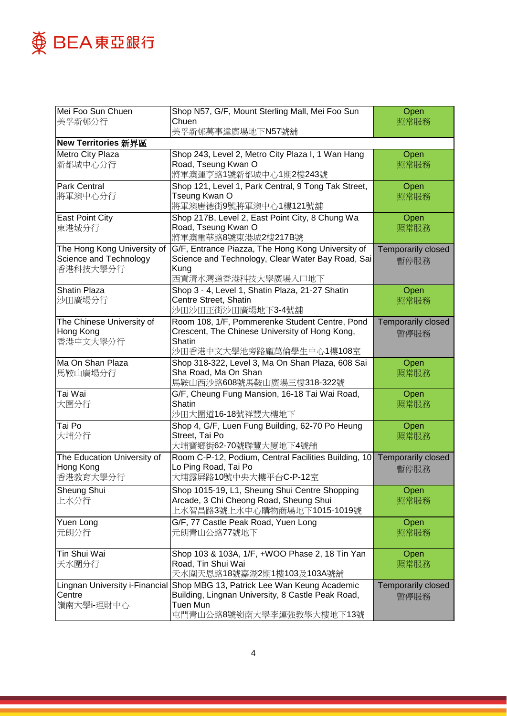

| Mei Foo Sun Chuen                        | Shop N57, G/F, Mount Sterling Mall, Mei Foo Sun                         | Open                      |
|------------------------------------------|-------------------------------------------------------------------------|---------------------------|
| 美孚新邨分行                                   | Chuen                                                                   | 照常服務                      |
|                                          | 美孚新邨萬事達廣場地下N57號舖                                                        |                           |
| New Territories 新界區                      |                                                                         |                           |
| Metro City Plaza                         | Shop 243, Level 2, Metro City Plaza I, 1 Wan Hang                       | Open                      |
| 新都城中心分行                                  | Road, Tseung Kwan O                                                     | 照常服務                      |
|                                          | 將軍澳運亨路1號新都城中心1期2樓243號                                                   |                           |
| Park Central                             | Shop 121, Level 1, Park Central, 9 Tong Tak Street,                     | Open                      |
| 將軍澳中心分行                                  | Tseung Kwan O                                                           | 照常服務                      |
|                                          | 將軍澳唐德街9號將軍澳中心1樓121號舖                                                    |                           |
| <b>East Point City</b>                   | Shop 217B, Level 2, East Point City, 8 Chung Wa                         | Open                      |
| 東港城分行                                    | Road, Tseung Kwan O                                                     | 照常服務                      |
|                                          | 將軍澳重華路8號東港城2樓217B號                                                      |                           |
| The Hong Kong University of              | G/F, Entrance Piazza, The Hong Kong University of                       | Temporarily closed        |
| Science and Technology                   | Science and Technology, Clear Water Bay Road, Sai                       | 暫停服務                      |
| 香港科技大學分行                                 | Kung                                                                    |                           |
|                                          | 西貢清水灣道香港科技大學廣場入口地下                                                      |                           |
| <b>Shatin Plaza</b>                      | Shop 3 - 4, Level 1, Shatin Plaza, 21-27 Shatin                         | Open                      |
| 沙田廣場分行                                   | Centre Street, Shatin                                                   | 照常服務                      |
|                                          | 沙田沙田正街沙田廣場地下3-4號舖                                                       |                           |
| The Chinese University of                | Room 108, 1/F, Pommerenke Student Centre, Pond                          | <b>Temporarily closed</b> |
| Hong Kong                                | Crescent, The Chinese University of Hong Kong,                          | 暫停服務                      |
| 香港中文大學分行                                 | <b>Shatin</b>                                                           |                           |
|                                          | 沙田香港中文大學池旁路龐萬倫學生中心1樓108室                                                |                           |
| Ma On Shan Plaza                         | Shop 318-322, Level 3, Ma On Shan Plaza, 608 Sai                        | Open                      |
| 馬鞍山廣場分行                                  | Sha Road, Ma On Shan                                                    | 照常服務                      |
|                                          | 馬鞍山西沙路608號馬鞍山廣場三樓318-322號                                               |                           |
| Tai Wai                                  | G/F, Cheung Fung Mansion, 16-18 Tai Wai Road,                           | Open                      |
| 大圍分行                                     | Shatin                                                                  | 照常服務                      |
|                                          | 沙田大圍道16-18號祥豐大樓地下                                                       |                           |
| Tai Po                                   | Shop 4, G/F, Luen Fung Building, 62-70 Po Heung                         | Open                      |
| 大埔分行                                     | Street, Tai Po                                                          | 照常服務                      |
|                                          | 大埔寶鄉街62-70號聯豐大厦地下4號舖                                                    |                           |
| The Education University of              | Room C-P-12, Podium, Central Facilities Building, 10 Temporarily closed |                           |
| Hong Kong                                | Lo Ping Road, Tai Po                                                    | 暫停服務                      |
| 香港教育大學分行                                 | 大埔露屏路10號中央大樓平台C-P-12室                                                   |                           |
| Sheung Shui                              | Shop 1015-19, L1, Sheung Shui Centre Shopping                           | Open                      |
| 上水分行                                     | Arcade, 3 Chi Cheong Road, Sheung Shui                                  | 照常服務                      |
|                                          | 上水智昌路3號上水中心購物商場地下1015-1019號                                             |                           |
| Yuen Long                                | G/F, 77 Castle Peak Road, Yuen Long                                     | Open                      |
| 元朗分行                                     | 元朗青山公路77號地下                                                             | 照常服務                      |
|                                          |                                                                         |                           |
| Tin Shui Wai                             | Shop 103 & 103A, 1/F, +WOO Phase 2, 18 Tin Yan                          | Open                      |
|                                          | Road, Tin Shui Wai                                                      |                           |
| 天水圍分行                                    | 天水圍天恩路18號嘉湖2期1樓103及103A號舖                                               | 照常服務                      |
|                                          | Shop MBG 13, Patrick Lee Wan Keung Academic                             |                           |
| Lingnan University i-Financial<br>Centre | Building, Lingnan University, 8 Castle Peak Road,                       | Temporarily closed        |
| 嶺南大學i-理財中心                               | Tuen Mun                                                                | 暫停服務                      |
|                                          | 屯門青山公路8號嶺南大學李運強教學大樓地下13號                                                |                           |
|                                          |                                                                         |                           |